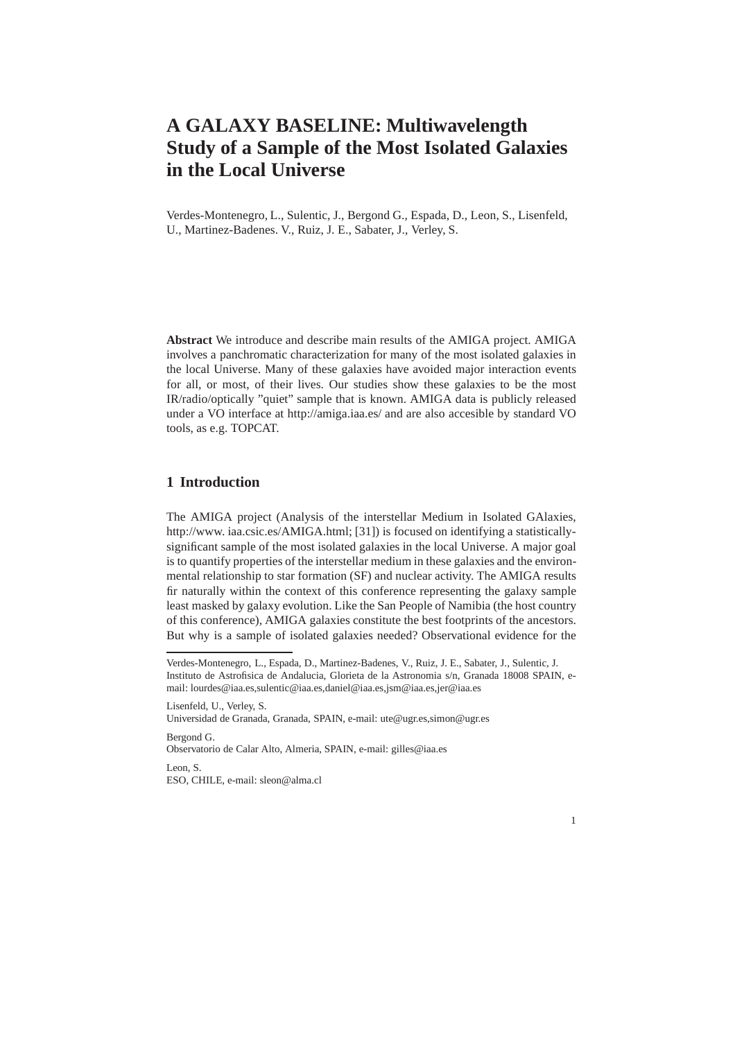# **A GALAXY BASELINE: Multiwavelength Study of a Sample of the Most Isolated Galaxies in the Local Universe**

Verdes-Montenegro, L., Sulentic, J., Bergond G., Espada, D., Leon, S., Lisenfeld, U., Martinez-Badenes. V., Ruiz, J. E., Sabater, J., Verley, S.

**Abstract** We introduce and describe main results of the AMIGA project. AMIGA involves a panchromatic characterization for many of the most isolated galaxies in the local Universe. Many of these galaxies have avoided major interaction events for all, or most, of their lives. Our studies show these galaxies to be the most IR/radio/optically "quiet" sample that is known. AMIGA data is publicly released under a VO interface at http://amiga.iaa.es/ and are also accesible by standard VO tools, as e.g. TOPCAT.

# **1 Introduction**

The AMIGA project (Analysis of the interstellar Medium in Isolated GAlaxies, http://www. iaa.csic.es/AMIGA.html; [31]) is focused on identifying a statisticallysignificant sample of the most isolated galaxies in the local Universe. A major goal is to quantify properties of the interstellar medium in these galaxies and the environmental relationship to star formation (SF) and nuclear activity. The AMIGA results fir naturally within the context of this conference representing the galaxy sample least masked by galaxy evolution. Like the San People of Namibia (the host country of this conference), AMIGA galaxies constitute the best footprints of the ancestors. But why is a sample of isolated galaxies needed? Observational evidence for the

Lisenfeld, U., Verley, S.

Universidad de Granada, Granada, SPAIN, e-mail: ute@ugr.es,simon@ugr.es Bergond G.

Observatorio de Calar Alto, Almeria, SPAIN, e-mail: gilles@iaa.es

Leon, S. ESO, CHILE, e-mail: sleon@alma.cl



Verdes-Montenegro, L., Espada, D., Martinez-Badenes, V., Ruiz, J. E., Sabater, J., Sulentic, J. Instituto de Astrofisica de Andalucia, Glorieta de la Astronomia s/n, Granada 18008 SPAIN, email: lourdes@iaa.es,sulentic@iaa.es,daniel@iaa.es,jsm@iaa.es,jer@iaa.es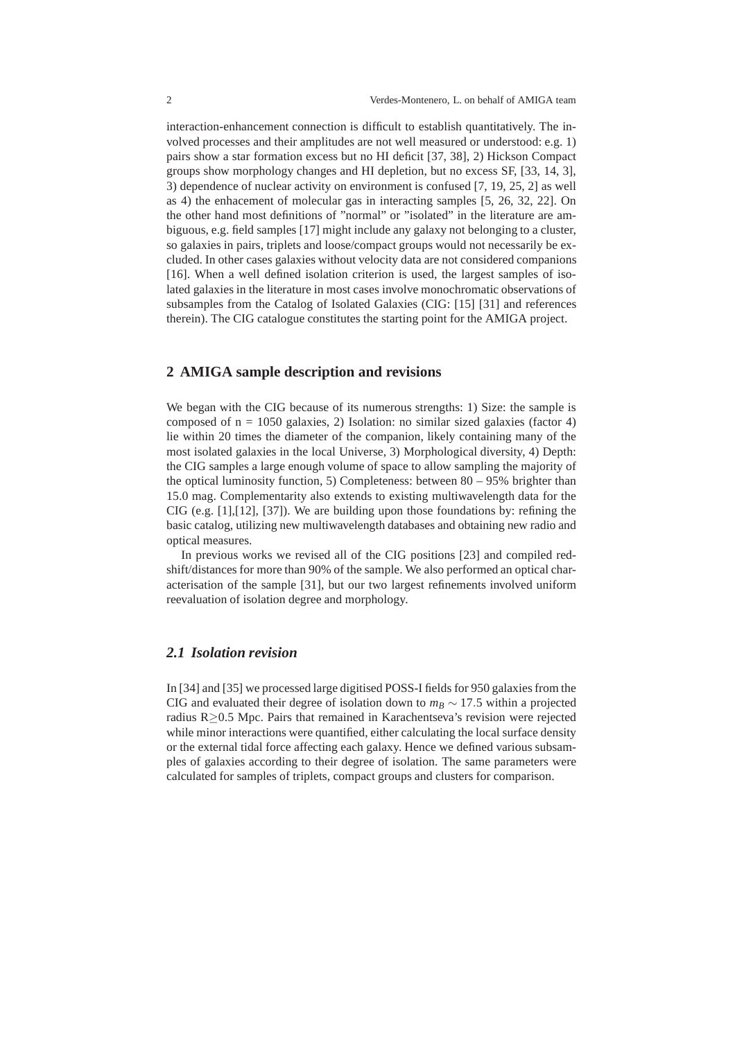interaction-enhancement connection is difficult to establish quantitatively. The involved processes and their amplitudes are not well measured or understood: e.g. 1) pairs show a star formation excess but no HI deficit [37, 38], 2) Hickson Compact groups show morphology changes and HI depletion, but no excess SF, [33, 14, 3], 3) dependence of nuclear activity on environment is confused [7, 19, 25, 2] as well as 4) the enhacement of molecular gas in interacting samples [5, 26, 32, 22]. On the other hand most definitions of "normal" or "isolated" in the literature are ambiguous, e.g. field samples [17] might include any galaxy not belonging to a cluster, so galaxies in pairs, triplets and loose/compact groups would not necessarily be excluded. In other cases galaxies without velocity data are not considered companions [16]. When a well defined isolation criterion is used, the largest samples of isolated galaxies in the literature in most cases involve monochromatic observations of subsamples from the Catalog of Isolated Galaxies (CIG: [15] [31] and references therein). The CIG catalogue constitutes the starting point for the AMIGA project.

## **2 AMIGA sample description and revisions**

We began with the CIG because of its numerous strengths: 1) Size: the sample is composed of  $n = 1050$  galaxies, 2) Isolation: no similar sized galaxies (factor 4) lie within 20 times the diameter of the companion, likely containing many of the most isolated galaxies in the local Universe, 3) Morphological diversity, 4) Depth: the CIG samples a large enough volume of space to allow sampling the majority of the optical luminosity function, 5) Completeness: between  $80 - 95\%$  brighter than 15.0 mag. Complementarity also extends to existing multiwavelength data for the CIG (e.g. [1],[12], [37]). We are building upon those foundations by: refining the basic catalog, utilizing new multiwavelength databases and obtaining new radio and optical measures.

In previous works we revised all of the CIG positions [23] and compiled redshift/distances for more than 90% of the sample. We also performed an optical characterisation of the sample [31], but our two largest refinements involved uniform reevaluation of isolation degree and morphology.

#### *2.1 Isolation revision*

In [34] and [35] we processed large digitised POSS-I fields for 950 galaxies from the CIG and evaluated their degree of isolation down to  $m_B \sim 17.5$  within a projected radius R≥0.5 Mpc. Pairs that remained in Karachentseva's revision were rejected while minor interactions were quantified, either calculating the local surface density or the external tidal force affecting each galaxy. Hence we defined various subsamples of galaxies according to their degree of isolation. The same parameters were calculated for samples of triplets, compact groups and clusters for comparison.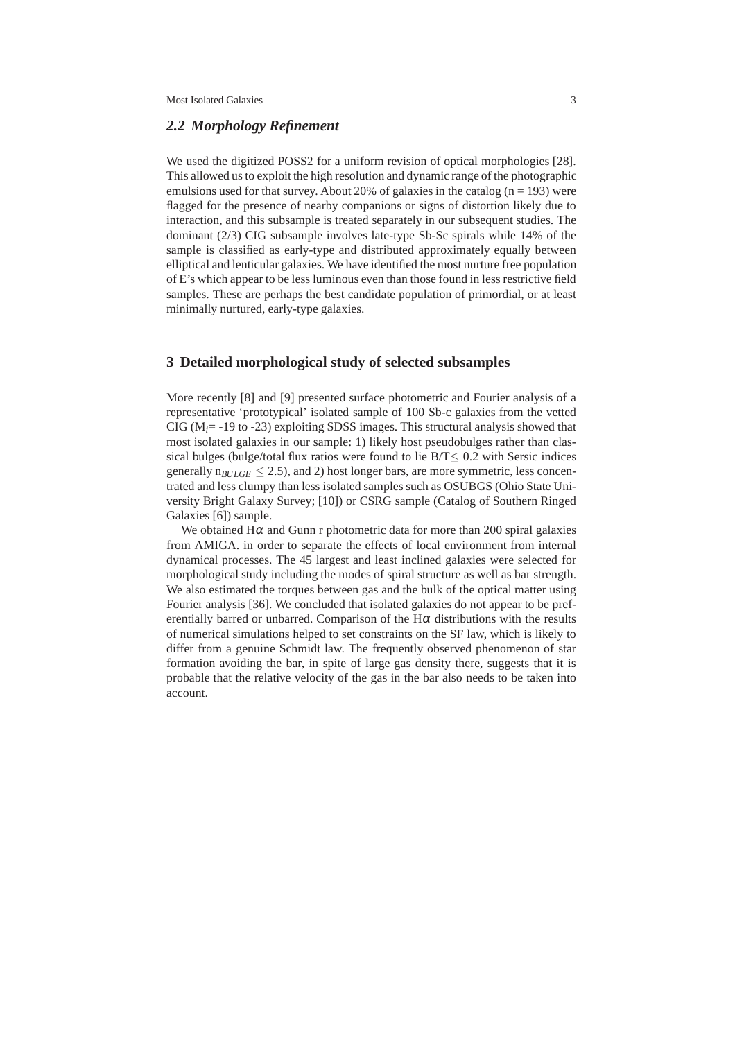#### *2.2 Morphology Refinement*

We used the digitized POSS2 for a uniform revision of optical morphologies [28]. This allowed us to exploit the high resolution and dynamic range of the photographic emulsions used for that survey. About 20% of galaxies in the catalog  $(n = 193)$  were flagged for the presence of nearby companions or signs of distortion likely due to interaction, and this subsample is treated separately in our subsequent studies. The dominant (2/3) CIG subsample involves late-type Sb-Sc spirals while 14% of the sample is classified as early-type and distributed approximately equally between elliptical and lenticular galaxies. We have identified the most nurture free population of E's which appear to be less luminous even than those found in less restrictive field samples. These are perhaps the best candidate population of primordial, or at least minimally nurtured, early-type galaxies.

# **3 Detailed morphological study of selected subsamples**

More recently [8] and [9] presented surface photometric and Fourier analysis of a representative 'prototypical' isolated sample of 100 Sb-c galaxies from the vetted CIG ( $M_i$  = -19 to -23) exploiting SDSS images. This structural analysis showed that most isolated galaxies in our sample: 1) likely host pseudobulges rather than classical bulges (bulge/total flux ratios were found to lie  $B/T < 0.2$  with Sersic indices generally  $n_{BULGE} \leq 2.5$ ), and 2) host longer bars, are more symmetric, less concentrated and less clumpy than less isolated samples such as OSUBGS (Ohio State University Bright Galaxy Survey; [10]) or CSRG sample (Catalog of Southern Ringed Galaxies [6]) sample.

We obtained  $H\alpha$  and Gunn r photometric data for more than 200 spiral galaxies from AMIGA. in order to separate the effects of local environment from internal dynamical processes. The 45 largest and least inclined galaxies were selected for morphological study including the modes of spiral structure as well as bar strength. We also estimated the torques between gas and the bulk of the optical matter using Fourier analysis [36]. We concluded that isolated galaxies do not appear to be preferentially barred or unbarred. Comparison of the  $H\alpha$  distributions with the results of numerical simulations helped to set constraints on the SF law, which is likely to differ from a genuine Schmidt law. The frequently observed phenomenon of star formation avoiding the bar, in spite of large gas density there, suggests that it is probable that the relative velocity of the gas in the bar also needs to be taken into account.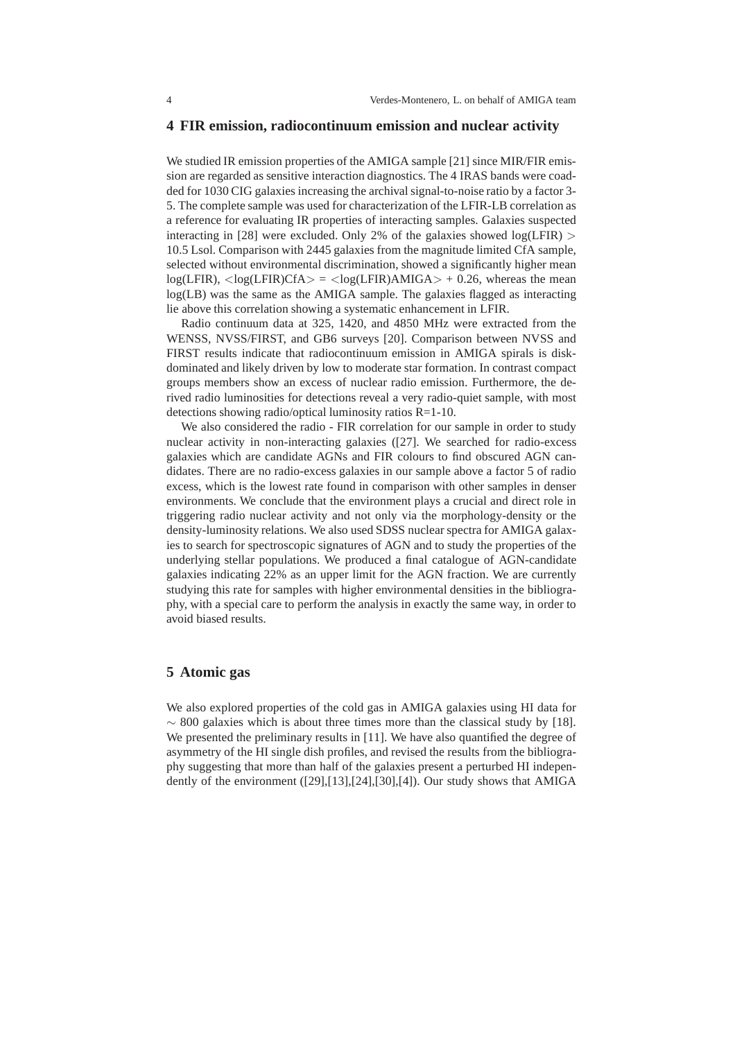#### **4 FIR emission, radiocontinuum emission and nuclear activity**

We studied IR emission properties of the AMIGA sample [21] since MIR/FIR emission are regarded as sensitive interaction diagnostics. The 4 IRAS bands were coadded for 1030 CIG galaxies increasing the archival signal-to-noise ratio by a factor 3- 5. The complete sample was used for characterization of the LFIR-LB correlation as a reference for evaluating IR properties of interacting samples. Galaxies suspected interacting in [28] were excluded. Only 2% of the galaxies showed  $log(LFIR)$ 10.5 Lsol. Comparison with 2445 galaxies from the magnitude limited CfA sample, selected without environmental discrimination, showed a significantly higher mean  $log(LFIR)$ ,  $\langle log(LFIR)CfA \rangle = \langle log(LFIR)AMIGA \rangle + 0.26$ , whereas the mean log(LB) was the same as the AMIGA sample. The galaxies flagged as interacting lie above this correlation showing a systematic enhancement in LFIR.

Radio continuum data at 325, 1420, and 4850 MHz were extracted from the WENSS, NVSS/FIRST, and GB6 surveys [20]. Comparison between NVSS and FIRST results indicate that radiocontinuum emission in AMIGA spirals is diskdominated and likely driven by low to moderate star formation. In contrast compact groups members show an excess of nuclear radio emission. Furthermore, the derived radio luminosities for detections reveal a very radio-quiet sample, with most detections showing radio/optical luminosity ratios R=1-10.

We also considered the radio - FIR correlation for our sample in order to study nuclear activity in non-interacting galaxies ([27]. We searched for radio-excess galaxies which are candidate AGNs and FIR colours to find obscured AGN candidates. There are no radio-excess galaxies in our sample above a factor 5 of radio excess, which is the lowest rate found in comparison with other samples in denser environments. We conclude that the environment plays a crucial and direct role in triggering radio nuclear activity and not only via the morphology-density or the density-luminosity relations. We also used SDSS nuclear spectra for AMIGA galaxies to search for spectroscopic signatures of AGN and to study the properties of the underlying stellar populations. We produced a final catalogue of AGN-candidate galaxies indicating 22% as an upper limit for the AGN fraction. We are currently studying this rate for samples with higher environmental densities in the bibliography, with a special care to perform the analysis in exactly the same way, in order to avoid biased results.

## **5 Atomic gas**

We also explored properties of the cold gas in AMIGA galaxies using HI data for  $\sim$  800 galaxies which is about three times more than the classical study by [18]. We presented the preliminary results in [11]. We have also quantified the degree of asymmetry of the HI single dish profiles, and revised the results from the bibliography suggesting that more than half of the galaxies present a perturbed HI independently of the environment ([29],[13],[24],[30],[4]). Our study shows that AMIGA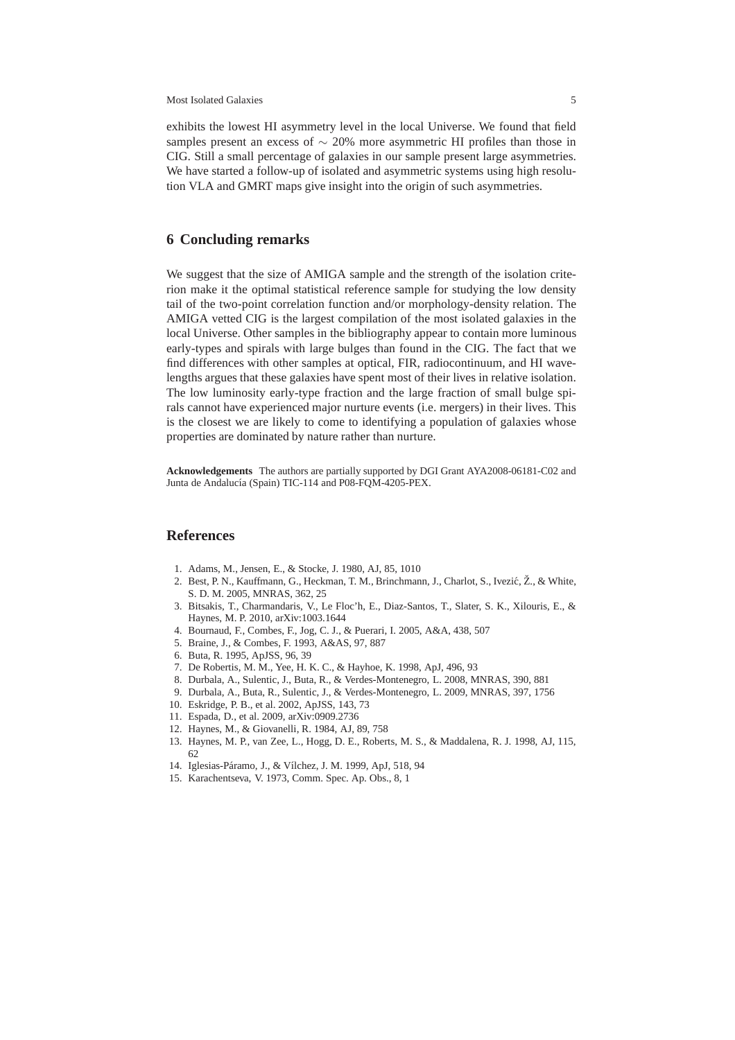Most Isolated Galaxies 5

exhibits the lowest HI asymmetry level in the local Universe. We found that field samples present an excess of  $\sim$  20% more asymmetric HI profiles than those in CIG. Still a small percentage of galaxies in our sample present large asymmetries. We have started a follow-up of isolated and asymmetric systems using high resolution VLA and GMRT maps give insight into the origin of such asymmetries.

# **6 Concluding remarks**

We suggest that the size of AMIGA sample and the strength of the isolation criterion make it the optimal statistical reference sample for studying the low density tail of the two-point correlation function and/or morphology-density relation. The AMIGA vetted CIG is the largest compilation of the most isolated galaxies in the local Universe. Other samples in the bibliography appear to contain more luminous early-types and spirals with large bulges than found in the CIG. The fact that we find differences with other samples at optical, FIR, radiocontinuum, and HI wavelengths argues that these galaxies have spent most of their lives in relative isolation. The low luminosity early-type fraction and the large fraction of small bulge spirals cannot have experienced major nurture events (i.e. mergers) in their lives. This is the closest we are likely to come to identifying a population of galaxies whose properties are dominated by nature rather than nurture.

**Acknowledgements** The authors are partially supported by DGI Grant AYA2008-06181-C02 and Junta de Andalucía (Spain) TIC-114 and P08-FQM-4205-PEX.

## **References**

- 1. Adams, M., Jensen, E., & Stocke, J. 1980, AJ, 85, 1010
- 2. Best, P. N., Kauffmann, G., Heckman, T. M., Brinchmann, J., Charlot, S., Ivezić, Ž., & White, S. D. M. 2005, MNRAS, 362, 25
- 3. Bitsakis, T., Charmandaris, V., Le Floc'h, E., Diaz-Santos, T., Slater, S. K., Xilouris, E., & Haynes, M. P. 2010, arXiv:1003.1644
- 4. Bournaud, F., Combes, F., Jog, C. J., & Puerari, I. 2005, A&A, 438, 507
- 5. Braine, J., & Combes, F. 1993, A&AS, 97, 887
- 6. Buta, R. 1995, ApJSS, 96, 39
- 7. De Robertis, M. M., Yee, H. K. C., & Hayhoe, K. 1998, ApJ, 496, 93
- 8. Durbala, A., Sulentic, J., Buta, R., & Verdes-Montenegro, L. 2008, MNRAS, 390, 881
- 9. Durbala, A., Buta, R., Sulentic, J., & Verdes-Montenegro, L. 2009, MNRAS, 397, 1756
- 10. Eskridge, P. B., et al. 2002, ApJSS, 143, 73
- 11. Espada, D., et al. 2009, arXiv:0909.2736
- 12. Haynes, M., & Giovanelli, R. 1984, AJ, 89, 758
- 13. Haynes, M. P., van Zee, L., Hogg, D. E., Roberts, M. S., & Maddalena, R. J. 1998, AJ, 115, 62
- 14. Iglesias-Páramo, J., & Vílchez, J. M. 1999, ApJ, 518, 94
- 15. Karachentseva, V. 1973, Comm. Spec. Ap. Obs., 8, 1